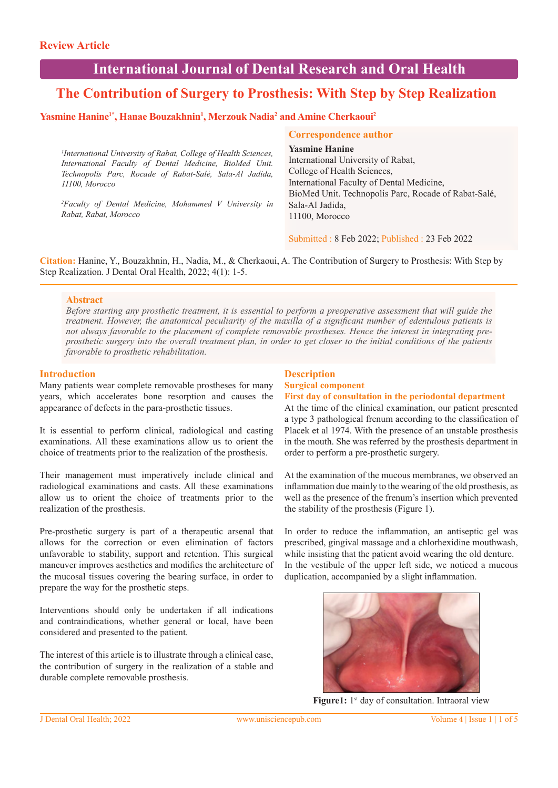# **International Journal of Dental Research and Oral Health**

# **The Contribution of Surgery to Prosthesis: With Step by Step Realization**

## **Yasmine Hanine<sup>1\*</sup>, Hanae Bouzakhnin<sup>1</sup>, Merzouk Nadia<sup>2</sup> and Amine Cherkaoui<sup>2</sup>**

*1 International University of Rabat, College of Health Sciences, International Faculty of Dental Medicine, BioMed Unit. Technopolis Parc, Rocade of Rabat-Salé, Sala-Al Jadida, 11100, Morocco*

*2 Faculty of Dental Medicine, Mohammed V University in Rabat, Rabat, Morocco*

## **Correspondence author**

**Yasmine Hanine** 

International University of Rabat, College of Health Sciences, International Faculty of Dental Medicine, BioMed Unit. Technopolis Parc, Rocade of Rabat-Salé, Sala-Al Jadida, 11100, Morocco

Submitted : 8 Feb 2022; Published : 23 Feb 2022

**Citation:** Hanine, Y., Bouzakhnin, H., Nadia, M., & Cherkaoui, A. The Contribution of Surgery to Prosthesis: With Step by Step Realization. J Dental Oral Health, 2022; 4(1): 1-5.

#### **Abstract**

*Before starting any prosthetic treatment, it is essential to perform a preoperative assessment that will guide the treatment. However, the anatomical peculiarity of the maxilla of a significant number of edentulous patients is not always favorable to the placement of complete removable prostheses. Hence the interest in integrating preprosthetic surgery into the overall treatment plan, in order to get closer to the initial conditions of the patients favorable to prosthetic rehabilitation.* 

## **Introduction**

Many patients wear complete removable prostheses for many years, which accelerates bone resorption and causes the appearance of defects in the para-prosthetic tissues.

It is essential to perform clinical, radiological and casting examinations. All these examinations allow us to orient the choice of treatments prior to the realization of the prosthesis.

Their management must imperatively include clinical and radiological examinations and casts. All these examinations allow us to orient the choice of treatments prior to the realization of the prosthesis.

Pre-prosthetic surgery is part of a therapeutic arsenal that allows for the correction or even elimination of factors unfavorable to stability, support and retention. This surgical maneuver improves aesthetics and modifies the architecture of the mucosal tissues covering the bearing surface, in order to prepare the way for the prosthetic steps.

Interventions should only be undertaken if all indications and contraindications, whether general or local, have been considered and presented to the patient.

The interest of this article is to illustrate through a clinical case, the contribution of surgery in the realization of a stable and durable complete removable prosthesis.

## **Description Surgical component**

**First day of consultation in the periodontal department**

At the time of the clinical examination, our patient presented a type 3 pathological frenum according to the classification of Placek et al 1974. With the presence of an unstable prosthesis in the mouth. She was referred by the prosthesis department in order to perform a pre-prosthetic surgery.

At the examination of the mucous membranes, we observed an inflammation due mainly to the wearing of the old prosthesis, as well as the presence of the frenum's insertion which prevented the stability of the prosthesis (Figure 1).

In order to reduce the inflammation, an antiseptic gel was prescribed, gingival massage and a chlorhexidine mouthwash, while insisting that the patient avoid wearing the old denture. In the vestibule of the upper left side, we noticed a mucous duplication, accompanied by a slight inflammation.



Figure1: 1<sup>st</sup> day of consultation. Intraoral view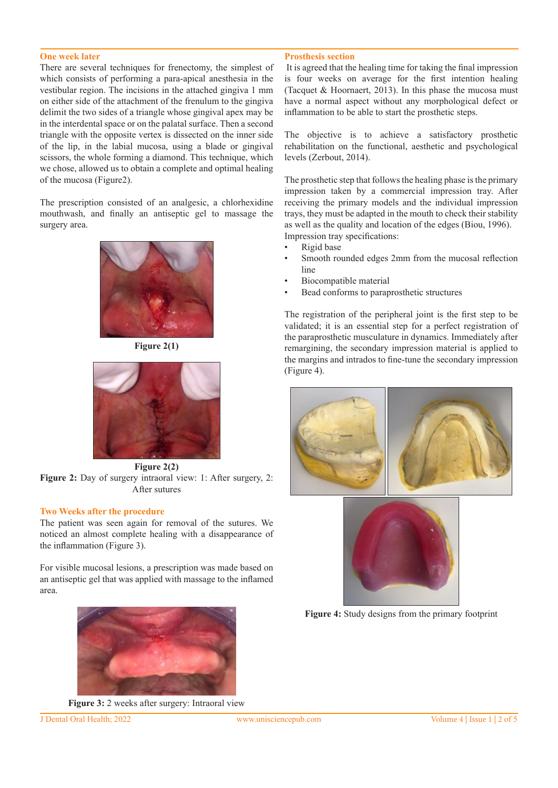#### **One week later**

There are several techniques for frenectomy, the simplest of which consists of performing a para-apical anesthesia in the vestibular region. The incisions in the attached gingiva 1 mm on either side of the attachment of the frenulum to the gingiva delimit the two sides of a triangle whose gingival apex may be in the interdental space or on the palatal surface. Then a second triangle with the opposite vertex is dissected on the inner side of the lip, in the labial mucosa, using a blade or gingival scissors, the whole forming a diamond. This technique, which we chose, allowed us to obtain a complete and optimal healing of the mucosa (Figure2).

The prescription consisted of an analgesic, a chlorhexidine mouthwash, and finally an antiseptic gel to massage the surgery area.



**Figure 2(1)**



**Figure 2(2) Figure 2:** Day of surgery intraoral view: 1: After surgery, 2: After sutures

#### **Two Weeks after the procedure**

The patient was seen again for removal of the sutures. We noticed an almost complete healing with a disappearance of the inflammation (Figure 3).

For visible mucosal lesions, a prescription was made based on an antiseptic gel that was applied with massage to the inflamed area.



**Figure 3:** 2 weeks after surgery: Intraoral view

#### **Prosthesis section**

 It is agreed that the healing time for taking the final impression is four weeks on average for the first intention healing (Tacquet & Hoornaert, 2013). In this phase the mucosa must have a normal aspect without any morphological defect or inflammation to be able to start the prosthetic steps.

The objective is to achieve a satisfactory prosthetic rehabilitation on the functional, aesthetic and psychological levels (Zerbout, 2014).

The prosthetic step that follows the healing phase is the primary impression taken by a commercial impression tray. After receiving the primary models and the individual impression trays, they must be adapted in the mouth to check their stability as well as the quality and location of the edges (Biou, 1996). Impression tray specifications:

- Rigid base
- Smooth rounded edges 2mm from the mucosal reflection line
- Biocompatible material
- Bead conforms to paraprosthetic structures

The registration of the peripheral joint is the first step to be validated; it is an essential step for a perfect registration of the paraprosthetic musculature in dynamics. Immediately after remargining, the secondary impression material is applied to the margins and intrados to fine-tune the secondary impression (Figure 4).





**Figure 4:** Study designs from the primary footprint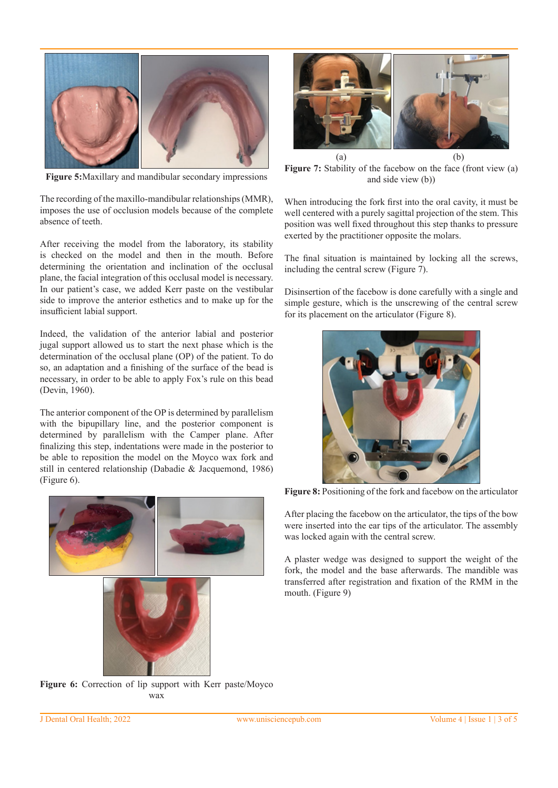

**Figure 5:**Maxillary and mandibular secondary impressions

The recording of the maxillo-mandibular relationships (MMR), imposes the use of occlusion models because of the complete absence of teeth.

After receiving the model from the laboratory, its stability is checked on the model and then in the mouth. Before determining the orientation and inclination of the occlusal plane, the facial integration of this occlusal model is necessary. In our patient's case, we added Kerr paste on the vestibular side to improve the anterior esthetics and to make up for the insufficient labial support.

Indeed, the validation of the anterior labial and posterior jugal support allowed us to start the next phase which is the determination of the occlusal plane (OP) of the patient. To do so, an adaptation and a finishing of the surface of the bead is necessary, in order to be able to apply Fox's rule on this bead (Devin, 1960).

The anterior component of the OP is determined by parallelism with the bipupillary line, and the posterior component is determined by parallelism with the Camper plane. After finalizing this step, indentations were made in the posterior to be able to reposition the model on the Moyco wax fork and still in centered relationship (Dabadie & Jacquemond, 1986) (Figure 6).





Figure 7: Stability of the facebow on the face (front view (a) and side view (b))

When introducing the fork first into the oral cavity, it must be well centered with a purely sagittal projection of the stem. This position was well fixed throughout this step thanks to pressure exerted by the practitioner opposite the molars.

The final situation is maintained by locking all the screws, including the central screw (Figure 7).

Disinsertion of the facebow is done carefully with a single and simple gesture, which is the unscrewing of the central screw for its placement on the articulator (Figure 8).



**Figure 8:** Positioning of the fork and facebow on the articulator

After placing the facebow on the articulator, the tips of the bow were inserted into the ear tips of the articulator. The assembly was locked again with the central screw.

A plaster wedge was designed to support the weight of the fork, the model and the base afterwards. The mandible was transferred after registration and fixation of the RMM in the mouth. (Figure 9)

**Figure 6:** Correction of lip support with Kerr paste/Moyco wax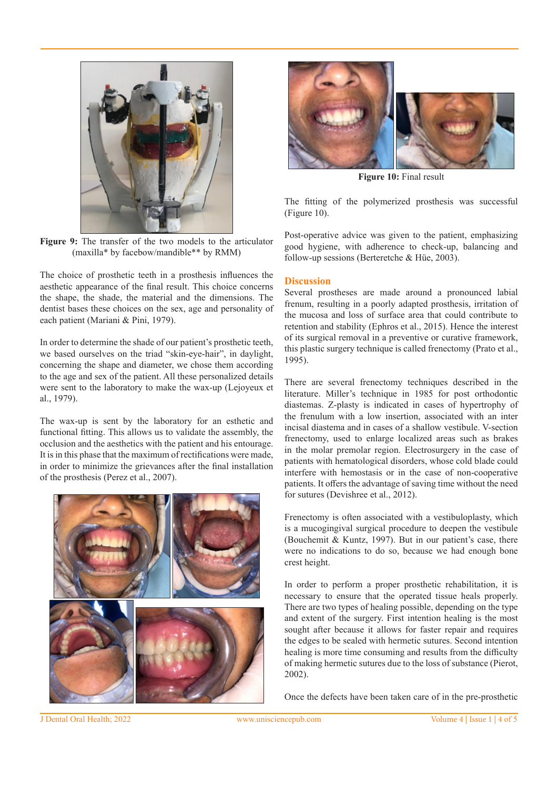

**Figure 9:** The transfer of the two models to the articulator (maxilla\* by facebow/mandible\*\* by RMM)

The choice of prosthetic teeth in a prosthesis influences the aesthetic appearance of the final result. This choice concerns the shape, the shade, the material and the dimensions. The dentist bases these choices on the sex, age and personality of each patient (Mariani & Pini, 1979).

In order to determine the shade of our patient's prosthetic teeth, we based ourselves on the triad "skin-eye-hair", in daylight, concerning the shape and diameter, we chose them according to the age and sex of the patient. All these personalized details were sent to the laboratory to make the wax-up (Lejoyeux et al., 1979).

The wax-up is sent by the laboratory for an esthetic and functional fitting. This allows us to validate the assembly, the occlusion and the aesthetics with the patient and his entourage. It is in this phase that the maximum of rectifications were made, in order to minimize the grievances after the final installation of the prosthesis (Perez et al., 2007).





**Figure 10:** Final result

The fitting of the polymerized prosthesis was successful (Figure 10).

Post-operative advice was given to the patient, emphasizing good hygiene, with adherence to check-up, balancing and follow-up sessions (Berteretche & Hüe, 2003).

## **Discussion**

Several prostheses are made around a pronounced labial frenum, resulting in a poorly adapted prosthesis, irritation of the mucosa and loss of surface area that could contribute to retention and stability (Ephros et al., 2015). Hence the interest of its surgical removal in a preventive or curative framework, this plastic surgery technique is called frenectomy (Prato et al., 1995).

There are several frenectomy techniques described in the literature. Miller's technique in 1985 for post orthodontic diastemas. Z-plasty is indicated in cases of hypertrophy of the frenulum with a low insertion, associated with an inter incisal diastema and in cases of a shallow vestibule. V-section frenectomy, used to enlarge localized areas such as brakes in the molar premolar region. Electrosurgery in the case of patients with hematological disorders, whose cold blade could interfere with hemostasis or in the case of non-cooperative patients. It offers the advantage of saving time without the need for sutures (Devishree et al., 2012).

Frenectomy is often associated with a vestibuloplasty, which is a mucogingival surgical procedure to deepen the vestibule (Bouchemit & Kuntz, 1997). But in our patient's case, there were no indications to do so, because we had enough bone crest height.

In order to perform a proper prosthetic rehabilitation, it is necessary to ensure that the operated tissue heals properly. There are two types of healing possible, depending on the type and extent of the surgery. First intention healing is the most sought after because it allows for faster repair and requires the edges to be sealed with hermetic sutures. Second intention healing is more time consuming and results from the difficulty of making hermetic sutures due to the loss of substance (Pierot, 2002).

Once the defects have been taken care of in the pre-prosthetic

J Dental Oral Health; 2022 www.unisciencepub.com Volume 4 | Issue 1 | 4 of 5